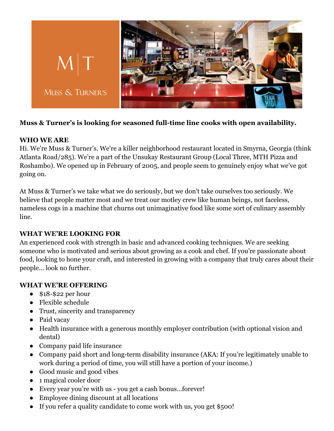

# **Muss & Turner's is looking for seasoned full-time line cooks with open availability.**

### **WHO WE ARE**

Hi. We're Muss & Turner's. We're a killer neighborhood restaurant located in Smyrna, Georgia (think Atlanta Road/285). We're a part of the Unsukay Restaurant Group (Local Three, MTH Pizza and Roshambo). We opened up in February of 2005, and people seem to genuinely enjoy what we've got going on.

At Muss & Turner's we take what we do seriously, but we don't take ourselves too seriously. We believe that people matter most and we treat our motley crew like human beings, not faceless, nameless cogs in a machine that churns out unimaginative food like some sort of culinary assembly line.

#### **WHAT WE'RE LOOKING FOR**

An experienced cook with strength in basic and advanced cooking techniques. We are seeking someone who is motivated and serious about growing as a cook and chef. If you're passionate about food, looking to hone your craft, and interested in growing with a company that truly cares about their people... look no further.

## **WHAT WE'RE OFFERING**

- $\bullet$  \$18-\$22 per hour
- Flexible schedule
- Trust, sincerity and transparency
- Paid vacay
- Health insurance with a generous monthly employer contribution (with optional vision and dental)
- Company paid life insurance
- Company paid short and long-term disability insurance (AKA: If you're legitimately unable to work during a period of time, you will still have a portion of your income.)
- Good music and good vibes
- 1 magical cooler door
- Every year you're with us you get a cash bonus…forever!
- Employee dining discount at all locations
- If you refer a quality candidate to come work with us, you get \$500!